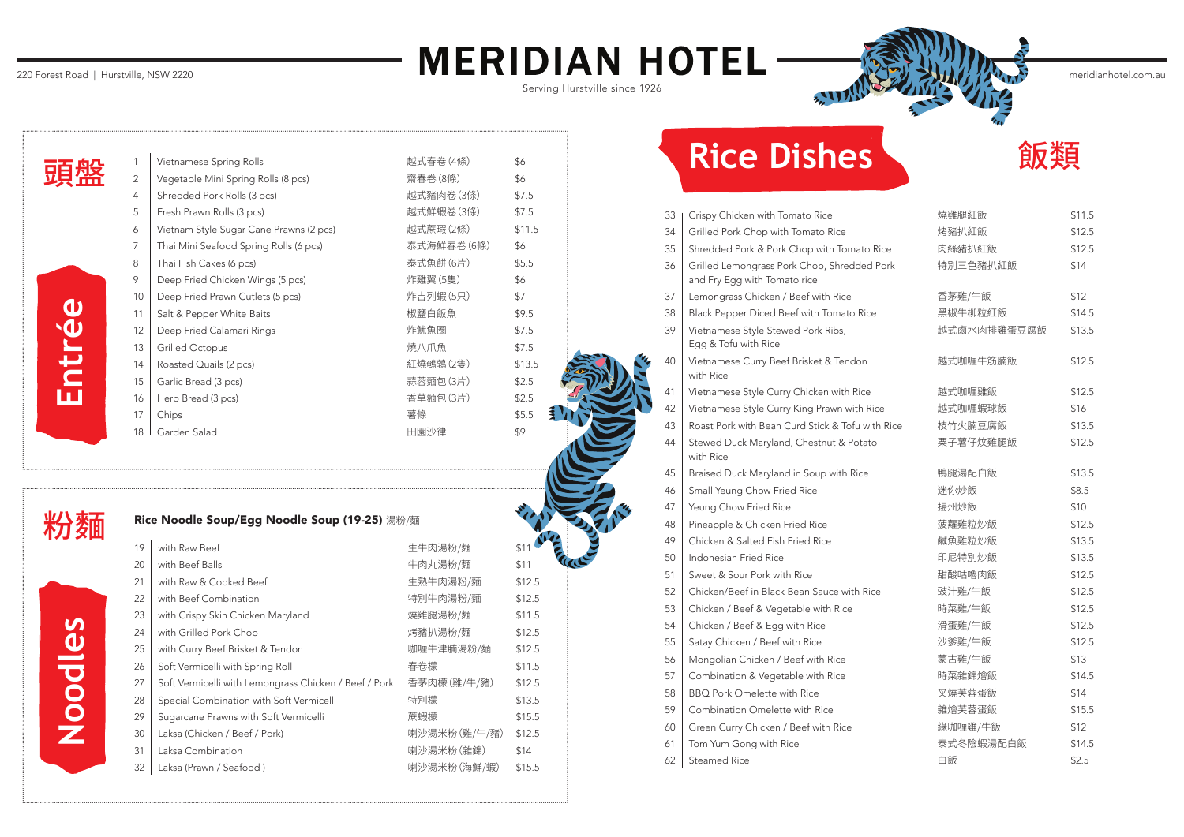| Rice Noodle Soup/Egg Noodle Soup (19-25) 湯粉/麵 |  |  |  |  |  |  |
|-----------------------------------------------|--|--|--|--|--|--|
|-----------------------------------------------|--|--|--|--|--|--|

| 19 | with Raw Beef                                         | 生牛肉湯粉/麵      | \$1    |
|----|-------------------------------------------------------|--------------|--------|
| 20 | with Beef Balls                                       | 牛肉丸湯粉/麵      | \$11   |
| 21 | with Raw & Cooked Beef                                | 生熟牛肉湯粉/麵     | \$12.5 |
| 22 | with Beef Combination                                 | 特別牛肉湯粉/麵     | \$12.5 |
| 23 | with Crispy Skin Chicken Maryland                     | 燒雞腿湯粉/麵      | \$11.5 |
| 24 | with Grilled Pork Chop                                | 烤豬扒湯粉/麵      | \$12.5 |
| 25 | with Curry Beef Brisket & Tendon                      | 咖喱牛津腩湯粉/麵    | \$12.5 |
| 26 | Soft Vermicelli with Spring Roll                      | 春卷檬          | \$11.5 |
| 27 | Soft Vermicelli with Lemongrass Chicken / Beef / Pork | 香茅肉檬(雞/牛/豬)  | \$12.5 |
| 28 | Special Combination with Soft Vermicelli              | 特別檬          | \$13.5 |
| 29 | Sugarcane Prawns with Soft Vermicelli                 | 蔗蝦檬          | \$15.5 |
| 30 | Laksa (Chicken / Beef / Pork)                         | 喇沙湯米粉(雞/牛/豬) | \$12.5 |
| 31 | Laksa Combination                                     | 喇沙湯米粉(雜錦)    | \$14   |
| 32 | Laksa (Prawn / Seafood)                               | 喇沙湯米粉(海鮮/蝦)  | \$15.5 |

# Rice Dishes **by 1999**

33 | Crispy Chicken with Tomato Rice  $34$  Grilled Pork Chop with Tomato Rice 35 Shredded Pork & Pork Chop with Tomato Rice 36 Grilled Lemongrass Pork Chop, Shredded Pork and Fry Egg with Tomato rice  $37$  Lemongrass Chicken / Beef with Rice 38 | Black Pepper Diced Beef with Tomato Rice 39 Vietnamese Style Stewed Pork Ribs, Egg & Tofu with Rice 40 Vietnamese Curry Beef Brisket & Tendon with Rice 41 Vietnamese Style Curry Chicken with Rice 42 Vietnamese Style Curry King Prawn with Rice 43 Roast Pork with Bean Curd Stick & Tofu with Rice 44 Stewed Duck Maryland, Chestnut & Potato with Rice 45 Braised Duck Maryland in Soup with Rice 46 | Small Yeung Chow Fried Rice 47 | Yeung Chow Fried Rice 48 | Pineapple & Chicken Fried Rice 49  $\mid$  Chicken & Salted Fish Fried Rice  $50$  Indonesian Fried Rice  $51$  Sweet & Sour Pork with Rice 52 Ghicken/Beef in Black Bean Sauce with Rice 53  $\vert$  Chicken / Beef & Vegetable with Rice 54 Chicken / Beef & Egg with Rice 55 Satay Chicken / Beef with Rice 56 | Mongolian Chicken / Beef with Rice 57 Combination & Vegetable with Rice  $58$  BBQ Pork Omelette with Rice  $59$  Combination Omelette with Rice 60 Green Curry Chicken / Beef with Rice 61  $\vert$  Tom Yum Gong with Rice

 $62$  Steamed Rice

| 燒雞腿紅飯       | \$11.5 |
|-------------|--------|
| 烤豬扒紅飯       | \$12.5 |
| 肉絲豬扒紅飯      | \$12.5 |
| 特別三色豬扒紅飯    | \$14   |
|             |        |
| 香茅雞/牛飯      | \$12   |
| 黑椒牛柳粒紅飯     | \$14.5 |
| 越式鹵水肉排雞蛋豆腐飯 | \$13.5 |
| 越式咖喱牛筋腩飯    | \$12.5 |
| 越式咖喱雞飯      | \$12.5 |
| 越式咖喱蝦球飯     | \$16   |
| 枝竹火腩豆腐飯     | \$13.5 |
| 粟子薯仔炆雞腿飯    | \$12.5 |
|             |        |
| 鴨腿湯配白飯      | \$13.5 |
| 迷你炒飯        | \$8.5  |
| 揚州炒飯        | \$10   |
| 菠蘿雞粒炒飯      | \$12.5 |
| 鹹魚雞粒炒飯      | \$13.5 |
| 印尼特別炒飯      | \$13.5 |
| 甜酸咕嚕肉飯      | \$12.5 |
| 豉汁雞/牛飯      | \$12.5 |
| 時菜雞/牛飯      | \$12.5 |
| 滑蛋雞/牛飯      | \$12.5 |
| 沙爹雞/牛飯      | \$12.5 |
| 蒙古雞/牛飯      | \$13   |
| 時菜雜錦燴飯      | \$14.5 |
| 叉燒芙蓉蛋飯      | \$14   |
| 雜燴芙蓉蛋飯      | \$15.5 |
| 綠咖喱雞/牛飯     | \$12   |
| 泰式冬陰蝦湯配白飯   | \$14.5 |
| 白飯          | \$2.5  |

| 1              | Vietnamese Spring Rolls                 | 越式春卷(4條)   | \$6    |
|----------------|-----------------------------------------|------------|--------|
| $\overline{2}$ | Vegetable Mini Spring Rolls (8 pcs)     | 齋春卷(8條)    | \$6    |
| 4              | Shredded Pork Rolls (3 pcs)             | 越式豬肉卷(3條)  | \$7.5  |
| 5              | Fresh Prawn Rolls (3 pcs)               | 越式鮮蝦卷(3條)  | \$7.5  |
| 6              | Vietnam Style Sugar Cane Prawns (2 pcs) | 越式蔗瑕(2條)   | \$11.5 |
| 7              | Thai Mini Seafood Spring Rolls (6 pcs)  | 泰式海鮮春卷(6條) | \$6    |
| 8              | Thai Fish Cakes (6 pcs)                 | 泰式魚餅(6片)   | \$5.5  |
| 9              | Deep Fried Chicken Wings (5 pcs)        | 炸雞翼(5隻)    | \$6    |
| 10             | Deep Fried Prawn Cutlets (5 pcs)        | 炸吉列蝦(5只)   | \$7    |
| 11             | Salt & Pepper White Baits               | 椒鹽白飯魚      | \$9.5  |
| 12             | Deep Fried Calamari Rings               | 炸魷魚圈       | \$7.5  |
| 13             | <b>Grilled Octopus</b>                  | 燒八爪魚       | \$7.5  |
| 14             | Roasted Quails (2 pcs)                  | 紅燒鵪鶉(2隻)   | \$13.5 |
| 15             | Garlic Bread (3 pcs)                    | 蒜蓉麵包(3片)   | \$2.5  |
| 16             | Herb Bread (3 pcs)                      | 香草麵包(3片)   | \$2.5  |
| 17             | Chips                                   | 薯條         | \$5.5  |
| 18             | Garden Salad                            | 田園沙律       | \$9    |
|                |                                         |            |        |

## 220 Forest Road | Hurstville, NSW 2220 **MERIDIAN HOTEL**

|  | Serving Hurstville since 1926 |  |  |
|--|-------------------------------|--|--|
|--|-------------------------------|--|--|



1 | Vietnamese Spring 頭盤2 Vegetable Mini Sp  $4 \mid$ Shredded Pork Ro 5 Fresh Prawn Rolls 6 | Vietnam Style Sug  $7 \mid$  Thai Mini Seafood 8 Thai Fish Cakes (6  $9$  Deep Fried Chicke 10 Deep Fried Prawn Entrée **Noodles Entrée** 11 | Salt & Pepper Whi 12 | Deep Fried Calam 13 Grilled Octopus 14 Roasted Quails  $(2)$ 15 Garlic Bread (3 pcs)  $16$  Herb Bread (3 pcs) 18 | Garden Salad

## 粉麵

Noodles